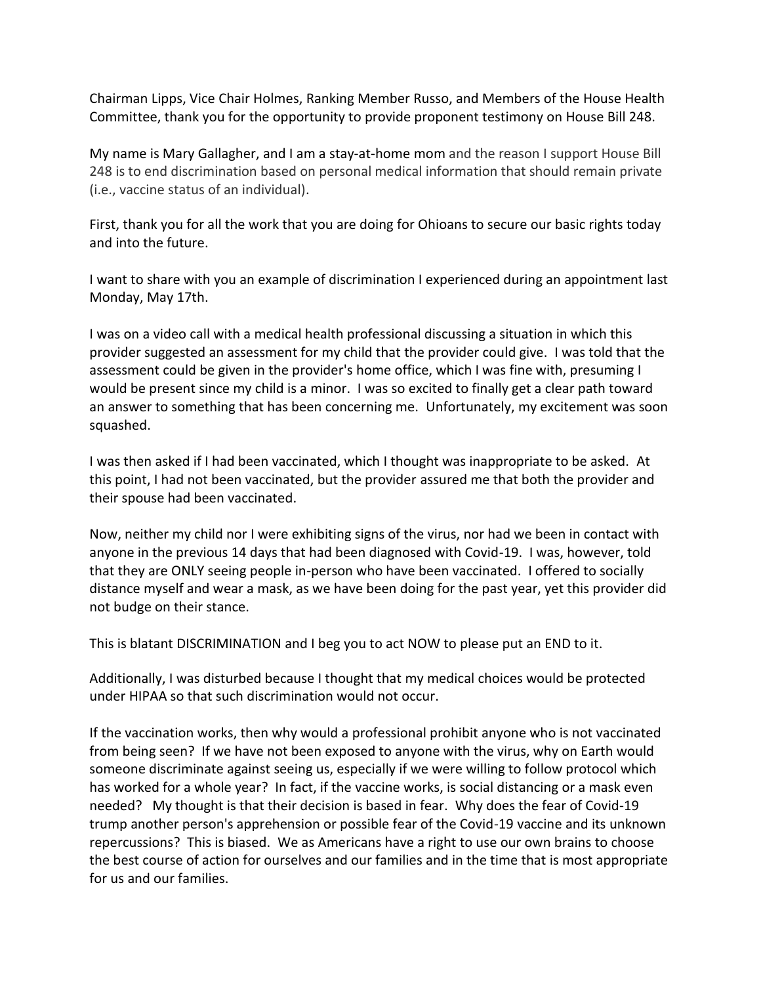Chairman Lipps, Vice Chair Holmes, Ranking Member Russo, and Members of the House Health Committee, thank you for the opportunity to provide proponent testimony on House Bill 248.

My name is Mary Gallagher, and I am a stay-at-home mom and the reason I support House Bill 248 is to end discrimination based on personal medical information that should remain private (i.e., vaccine status of an individual).

First, thank you for all the work that you are doing for Ohioans to secure our basic rights today and into the future.

I want to share with you an example of discrimination I experienced during an appointment last Monday, May 17th.

I was on a video call with a medical health professional discussing a situation in which this provider suggested an assessment for my child that the provider could give. I was told that the assessment could be given in the provider's home office, which I was fine with, presuming I would be present since my child is a minor. I was so excited to finally get a clear path toward an answer to something that has been concerning me. Unfortunately, my excitement was soon squashed.

I was then asked if I had been vaccinated, which I thought was inappropriate to be asked. At this point, I had not been vaccinated, but the provider assured me that both the provider and their spouse had been vaccinated.

Now, neither my child nor I were exhibiting signs of the virus, nor had we been in contact with anyone in the previous 14 days that had been diagnosed with Covid-19. I was, however, told that they are ONLY seeing people in-person who have been vaccinated. I offered to socially distance myself and wear a mask, as we have been doing for the past year, yet this provider did not budge on their stance.

This is blatant DISCRIMINATION and I beg you to act NOW to please put an END to it.

Additionally, I was disturbed because I thought that my medical choices would be protected under HIPAA so that such discrimination would not occur.

If the vaccination works, then why would a professional prohibit anyone who is not vaccinated from being seen? If we have not been exposed to anyone with the virus, why on Earth would someone discriminate against seeing us, especially if we were willing to follow protocol which has worked for a whole year? In fact, if the vaccine works, is social distancing or a mask even needed? My thought is that their decision is based in fear. Why does the fear of Covid-19 trump another person's apprehension or possible fear of the Covid-19 vaccine and its unknown repercussions? This is biased. We as Americans have a right to use our own brains to choose the best course of action for ourselves and our families and in the time that is most appropriate for us and our families.